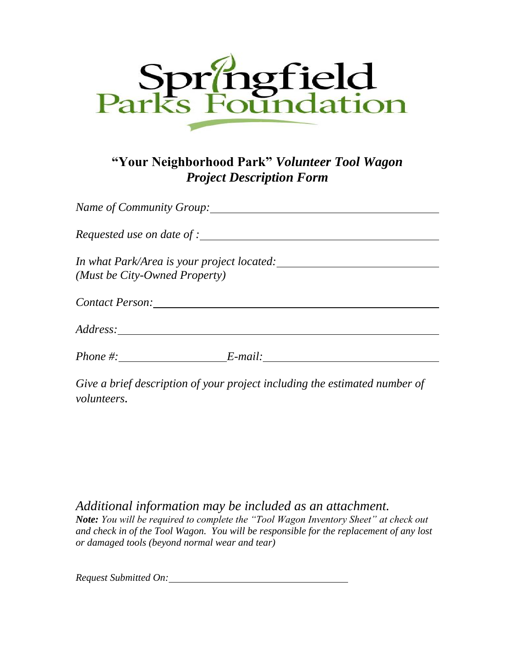

## **"Your Neighborhood Park"** *Volunteer Tool Wagon Project Description Form*

| Name of Community Group:                                                    |         |  |
|-----------------------------------------------------------------------------|---------|--|
|                                                                             |         |  |
| In what Park/Area is your project located:<br>(Must be City-Owned Property) |         |  |
| Contact Person:                                                             |         |  |
| <i>Address:</i>                                                             |         |  |
| Phone #:                                                                    | E-mail: |  |

*Give a brief description of your project including the estimated number of volunteers.*

*Additional information may be included as an attachment. Note: You will be required to complete the "Tool Wagon Inventory Sheet" at check out and check in of the Tool Wagon. You will be responsible for the replacement of any lost or damaged tools (beyond normal wear and tear)*

*Request Submitted On:*